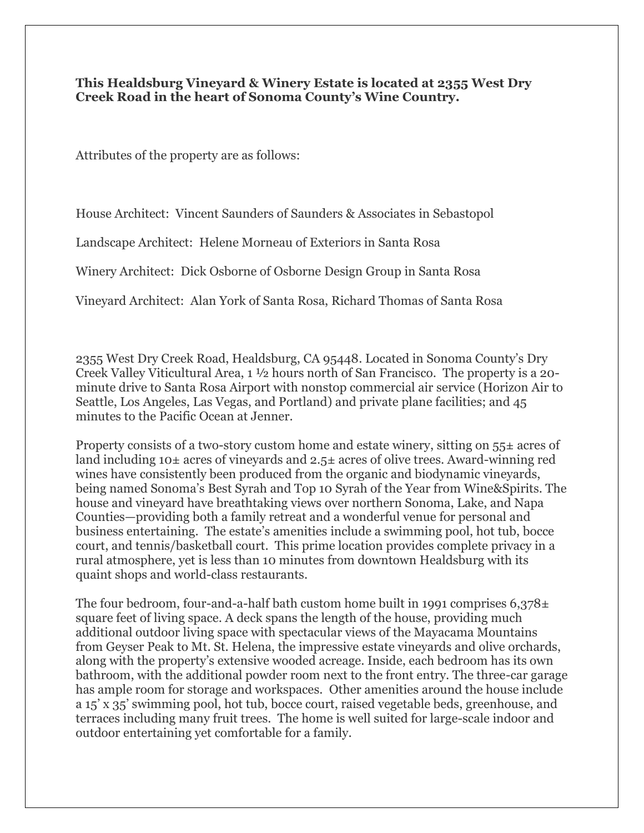## **This Healdsburg Vineyard & Winery Estate is located at 2355 West Dry Creek Road in the heart of Sonoma County's Wine Country.**

Attributes of the property are as follows:

House Architect: Vincent Saunders of Saunders & Associates in Sebastopol

Landscape Architect: Helene Morneau of Exteriors in Santa Rosa

Winery Architect: Dick Osborne of Osborne Design Group in Santa Rosa

Vineyard Architect: Alan York of Santa Rosa, Richard Thomas of Santa Rosa

2355 West Dry Creek Road, Healdsburg, CA 95448. Located in Sonoma County's Dry Creek Valley Viticultural Area, 1 ½ hours north of San Francisco. The property is a 20 minute drive to Santa Rosa Airport with nonstop commercial air service (Horizon Air to Seattle, Los Angeles, Las Vegas, and Portland) and private plane facilities; and 45 minutes to the Pacific Ocean at Jenner.

Property consists of a two-story custom home and estate winery, sitting on  $55\pm$  acres of land including 10± acres of vineyards and 2.5± acres of olive trees. Award-winning red wines have consistently been produced from the organic and biodynamic vineyards, being named Sonoma's Best Syrah and Top 10 Syrah of the Year from Wine&Spirits. The house and vineyard have breathtaking views over northern Sonoma, Lake, and Napa Counties—providing both a family retreat and a wonderful venue for personal and business entertaining. The estate's amenities include a swimming pool, hot tub, bocce court, and tennis/basketball court. This prime location provides complete privacy in a rural atmosphere, yet is less than 10 minutes from downtown Healdsburg with its quaint shops and world-class restaurants.

The four bedroom, four-and-a-half bath custom home built in 1991 comprises  $6.378\pm$ square feet of living space. A deck spans the length of the house, providing much additional outdoor living space with spectacular views of the Mayacama Mountains from Geyser Peak to Mt. St. Helena, the impressive estate vineyards and olive orchards, along with the property's extensive wooded acreage. Inside, each bedroom has its own bathroom, with the additional powder room next to the front entry. The three-car garage has ample room for storage and workspaces. Other amenities around the house include a 15' x 35' swimming pool, hot tub, bocce court, raised vegetable beds, greenhouse, and terraces including many fruit trees. The home is well suited for large-scale indoor and outdoor entertaining yet comfortable for a family.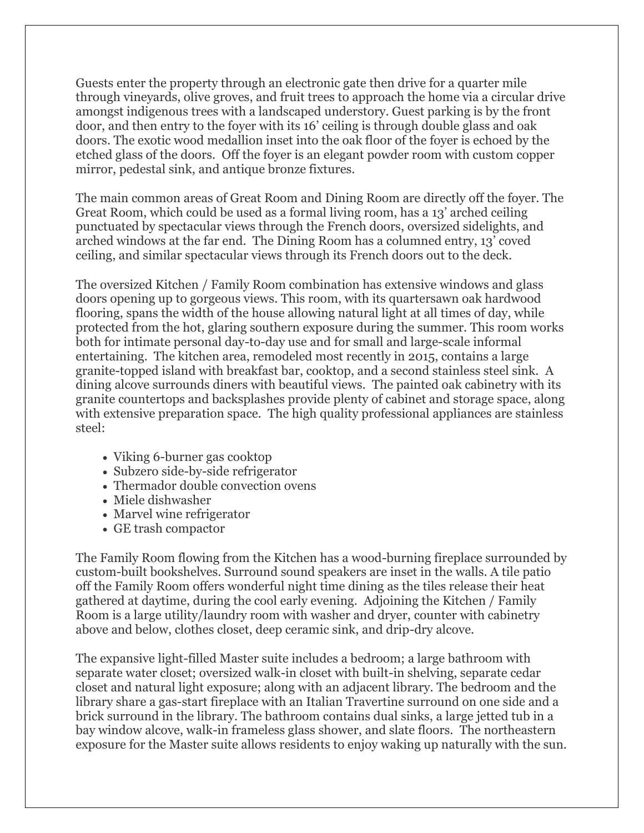Guests enter the property through an electronic gate then drive for a quarter mile through vineyards, olive groves, and fruit trees to approach the home via a circular drive amongst indigenous trees with a landscaped understory. Guest parking is by the front door, and then entry to the foyer with its 16' ceiling is through double glass and oak doors. The exotic wood medallion inset into the oak floor of the foyer is echoed by the etched glass of the doors. Off the foyer is an elegant powder room with custom copper mirror, pedestal sink, and antique bronze fixtures.

The main common areas of Great Room and Dining Room are directly off the foyer. The Great Room, which could be used as a formal living room, has a 13' arched ceiling punctuated by spectacular views through the French doors, oversized sidelights, and arched windows at the far end. The Dining Room has a columned entry, 13' coved ceiling, and similar spectacular views through its French doors out to the deck.

The oversized Kitchen / Family Room combination has extensive windows and glass doors opening up to gorgeous views. This room, with its quartersawn oak hardwood flooring, spans the width of the house allowing natural light at all times of day, while protected from the hot, glaring southern exposure during the summer. This room works both for intimate personal day-to-day use and for small and large-scale informal entertaining. The kitchen area, remodeled most recently in 2015, contains a large granite-topped island with breakfast bar, cooktop, and a second stainless steel sink. A dining alcove surrounds diners with beautiful views. The painted oak cabinetry with its granite countertops and backsplashes provide plenty of cabinet and storage space, along with extensive preparation space. The high quality professional appliances are stainless steel:

- Viking 6-burner gas cooktop
- Subzero side-by-side refrigerator
- Thermador double convection ovens
- Miele dishwasher
- Marvel wine refrigerator
- GE trash compactor

The Family Room flowing from the Kitchen has a wood-burning fireplace surrounded by custom-built bookshelves. Surround sound speakers are inset in the walls. A tile patio off the Family Room offers wonderful night time dining as the tiles release their heat gathered at daytime, during the cool early evening. Adjoining the Kitchen / Family Room is a large utility/laundry room with washer and dryer, counter with cabinetry above and below, clothes closet, deep ceramic sink, and drip-dry alcove.

The expansive light-filled Master suite includes a bedroom; a large bathroom with separate water closet; oversized walk-in closet with built-in shelving, separate cedar closet and natural light exposure; along with an adjacent library. The bedroom and the library share a gas-start fireplace with an Italian Travertine surround on one side and a brick surround in the library. The bathroom contains dual sinks, a large jetted tub in a bay window alcove, walk-in frameless glass shower, and slate floors. The northeastern exposure for the Master suite allows residents to enjoy waking up naturally with the sun.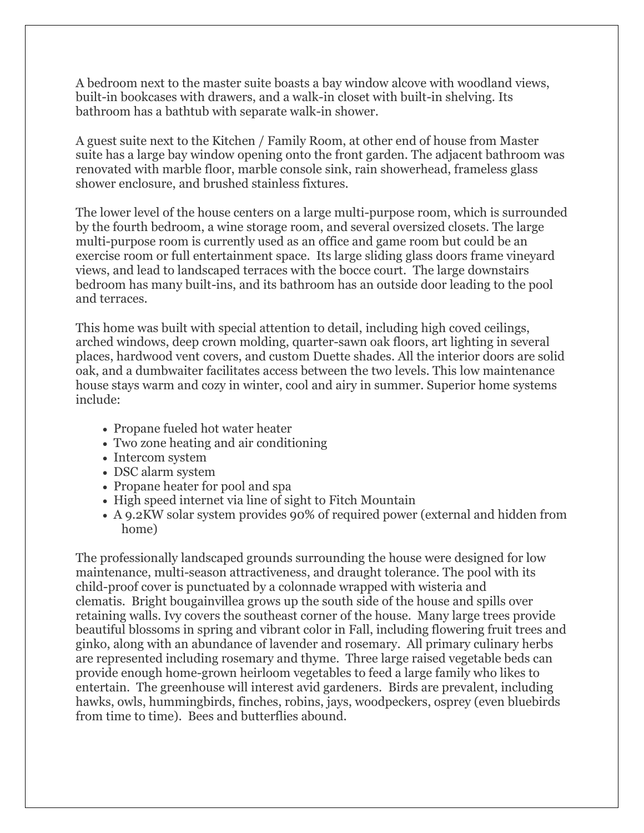A bedroom next to the master suite boasts a bay window alcove with woodland views, built-in bookcases with drawers, and a walk-in closet with built-in shelving. Its bathroom has a bathtub with separate walk-in shower.

A guest suite next to the Kitchen / Family Room, at other end of house from Master suite has a large bay window opening onto the front garden. The adjacent bathroom was renovated with marble floor, marble console sink, rain showerhead, frameless glass shower enclosure, and brushed stainless fixtures.

The lower level of the house centers on a large multi-purpose room, which is surrounded by the fourth bedroom, a wine storage room, and several oversized closets. The large multi-purpose room is currently used as an office and game room but could be an exercise room or full entertainment space. Its large sliding glass doors frame vineyard views, and lead to landscaped terraces with the bocce court. The large downstairs bedroom has many built-ins, and its bathroom has an outside door leading to the pool and terraces.

This home was built with special attention to detail, including high coved ceilings, arched windows, deep crown molding, quarter-sawn oak floors, art lighting in several places, hardwood vent covers, and custom Duette shades. All the interior doors are solid oak, and a dumbwaiter facilitates access between the two levels. This low maintenance house stays warm and cozy in winter, cool and airy in summer. Superior home systems include:

- Propane fueled hot water heater
- Two zone heating and air conditioning
- Intercom system
- DSC alarm system
- Propane heater for pool and spa
- High speed internet via line of sight to Fitch Mountain
- A 9.2KW solar system provides 90% of required power (external and hidden from home)

The professionally landscaped grounds surrounding the house were designed for low maintenance, multi-season attractiveness, and draught tolerance. The pool with its child-proof cover is punctuated by a colonnade wrapped with wisteria and clematis. Bright bougainvillea grows up the south side of the house and spills over retaining walls. Ivy covers the southeast corner of the house. Many large trees provide beautiful blossoms in spring and vibrant color in Fall, including flowering fruit trees and ginko, along with an abundance of lavender and rosemary. All primary culinary herbs are represented including rosemary and thyme. Three large raised vegetable beds can provide enough home-grown heirloom vegetables to feed a large family who likes to entertain. The greenhouse will interest avid gardeners. Birds are prevalent, including hawks, owls, hummingbirds, finches, robins, jays, woodpeckers, osprey (even bluebirds from time to time). Bees and butterflies abound.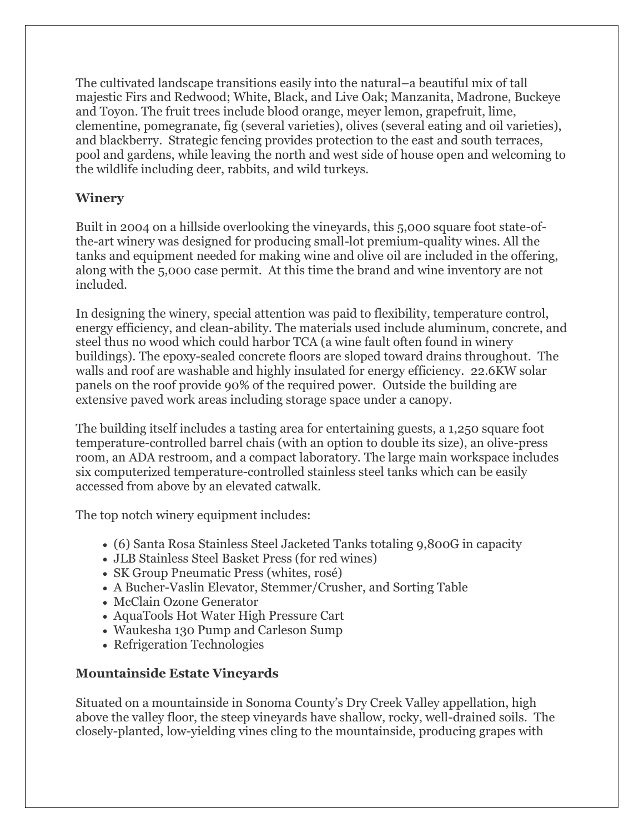The cultivated landscape transitions easily into the natural–a beautiful mix of tall majestic Firs and Redwood; White, Black, and Live Oak; Manzanita, Madrone, Buckeye and Toyon. The fruit trees include blood orange, meyer lemon, grapefruit, lime, clementine, pomegranate, fig (several varieties), olives (several eating and oil varieties), and blackberry. Strategic fencing provides protection to the east and south terraces, pool and gardens, while leaving the north and west side of house open and welcoming to the wildlife including deer, rabbits, and wild turkeys.

## **Winery**

Built in 2004 on a hillside overlooking the vineyards, this 5,000 square foot state-ofthe-art winery was designed for producing small-lot premium-quality wines. All the tanks and equipment needed for making wine and olive oil are included in the offering, along with the 5,000 case permit. At this time the brand and wine inventory are not included.

In designing the winery, special attention was paid to flexibility, temperature control, energy efficiency, and clean-ability. The materials used include aluminum, concrete, and steel thus no wood which could harbor TCA (a wine fault often found in winery buildings). The epoxy-sealed concrete floors are sloped toward drains throughout. The walls and roof are washable and highly insulated for energy efficiency. 22.6KW solar panels on the roof provide 90% of the required power. Outside the building are extensive paved work areas including storage space under a canopy.

The building itself includes a tasting area for entertaining guests, a 1,250 square foot temperature-controlled barrel chais (with an option to double its size), an olive-press room, an ADA restroom, and a compact laboratory. The large main workspace includes six computerized temperature-controlled stainless steel tanks which can be easily accessed from above by an elevated catwalk.

The top notch winery equipment includes:

- (6) Santa Rosa Stainless Steel Jacketed Tanks totaling 9,800G in capacity
- JLB Stainless Steel Basket Press (for red wines)
- SK Group Pneumatic Press (whites, rosé)
- A Bucher-Vaslin Elevator, Stemmer/Crusher, and Sorting Table
- McClain Ozone Generator
- AquaTools Hot Water High Pressure Cart
- Waukesha 130 Pump and Carleson Sump
- Refrigeration Technologies

## **Mountainside Estate Vineyards**

Situated on a mountainside in Sonoma County's Dry Creek Valley appellation, high above the valley floor, the steep vineyards have shallow, rocky, well-drained soils. The closely-planted, low-yielding vines cling to the mountainside, producing grapes with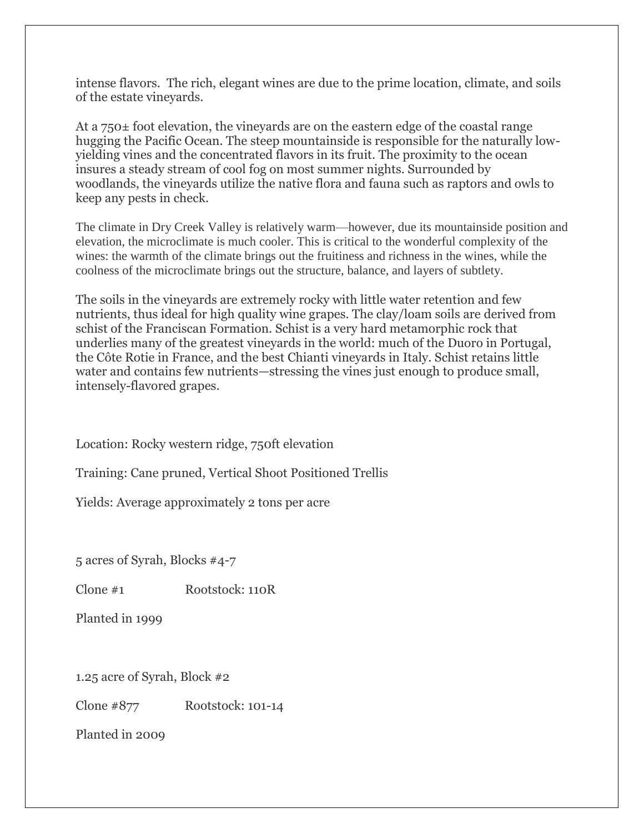intense flavors. The rich, elegant wines are due to the prime location, climate, and soils of the estate vineyards.

At a 750± foot elevation, the vineyards are on the eastern edge of the coastal range hugging the Pacific Ocean. The steep mountainside is responsible for the naturally lowyielding vines and the concentrated flavors in its fruit. The proximity to the ocean insures a steady stream of cool fog on most summer nights. Surrounded by woodlands, the vineyards utilize the native flora and fauna such as raptors and owls to keep any pests in check.

The climate in Dry Creek Valley is relatively warm—however, due its mountainside position and elevation, the microclimate is much cooler. This is critical to the wonderful complexity of the wines: the warmth of the climate brings out the fruitiness and richness in the wines, while the coolness of the microclimate brings out the structure, balance, and layers of subtlety.

The soils in the vineyards are extremely rocky with little water retention and few nutrients, thus ideal for high quality wine grapes. The clay/loam soils are derived from schist of the Franciscan Formation. Schist is a very hard metamorphic rock that underlies many of the greatest vineyards in the world: much of the Duoro in Portugal, the Côte Rotie in France, and the best Chianti vineyards in Italy. Schist retains little water and contains few nutrients—stressing the vines just enough to produce small, intensely-flavored grapes.

Location: Rocky western ridge, 750ft elevation

Training: Cane pruned, Vertical Shoot Positioned Trellis

Yields: Average approximately 2 tons per acre

5 acres of Syrah, Blocks #4-7

Clone #1 Rootstock: 110R

Planted in 1999

1.25 acre of Syrah, Block #2

Clone #877 Rootstock: 101-14

Planted in 2009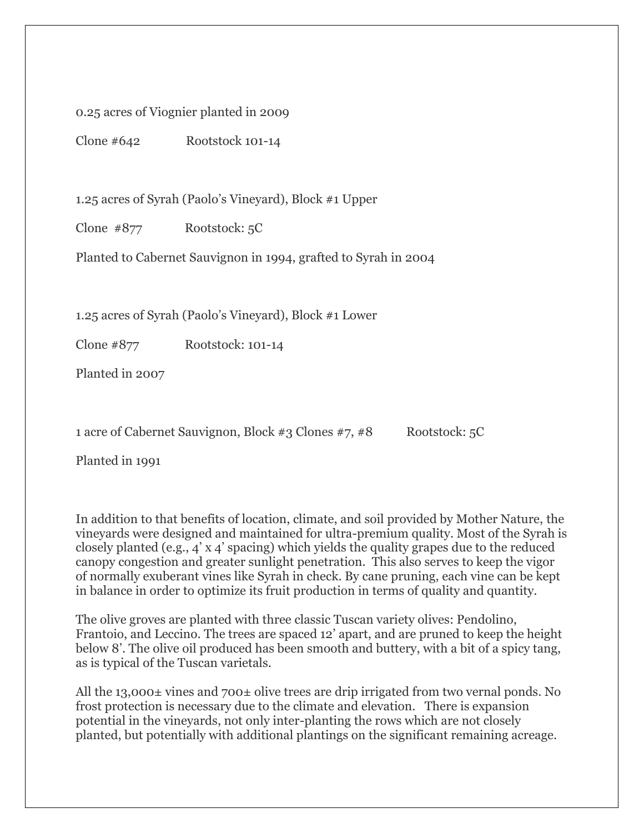0.25 acres of Viognier planted in 2009

Clone #642 Rootstock 101-14

1.25 acres of Syrah (Paolo's Vineyard), Block #1 Upper

Clone #877 Rootstock: 5C

Planted to Cabernet Sauvignon in 1994, grafted to Syrah in 2004

1.25 acres of Syrah (Paolo's Vineyard), Block #1 Lower

Clone #877 Rootstock: 101-14

Planted in 2007

1 acre of Cabernet Sauvignon, Block #3 Clones #7, #8 Rootstock: 5C

Planted in 1991

In addition to that benefits of location, climate, and soil provided by Mother Nature, the vineyards were designed and maintained for ultra-premium quality. Most of the Syrah is closely planted (e.g., 4' x 4' spacing) which yields the quality grapes due to the reduced canopy congestion and greater sunlight penetration. This also serves to keep the vigor of normally exuberant vines like Syrah in check. By cane pruning, each vine can be kept in balance in order to optimize its fruit production in terms of quality and quantity.

The olive groves are planted with three classic Tuscan variety olives: Pendolino, Frantoio, and Leccino. The trees are spaced 12' apart, and are pruned to keep the height below 8'. The olive oil produced has been smooth and buttery, with a bit of a spicy tang, as is typical of the Tuscan varietals.

All the 13,000± vines and 700± olive trees are drip irrigated from two vernal ponds. No frost protection is necessary due to the climate and elevation. There is expansion potential in the vineyards, not only inter-planting the rows which are not closely planted, but potentially with additional plantings on the significant remaining acreage.